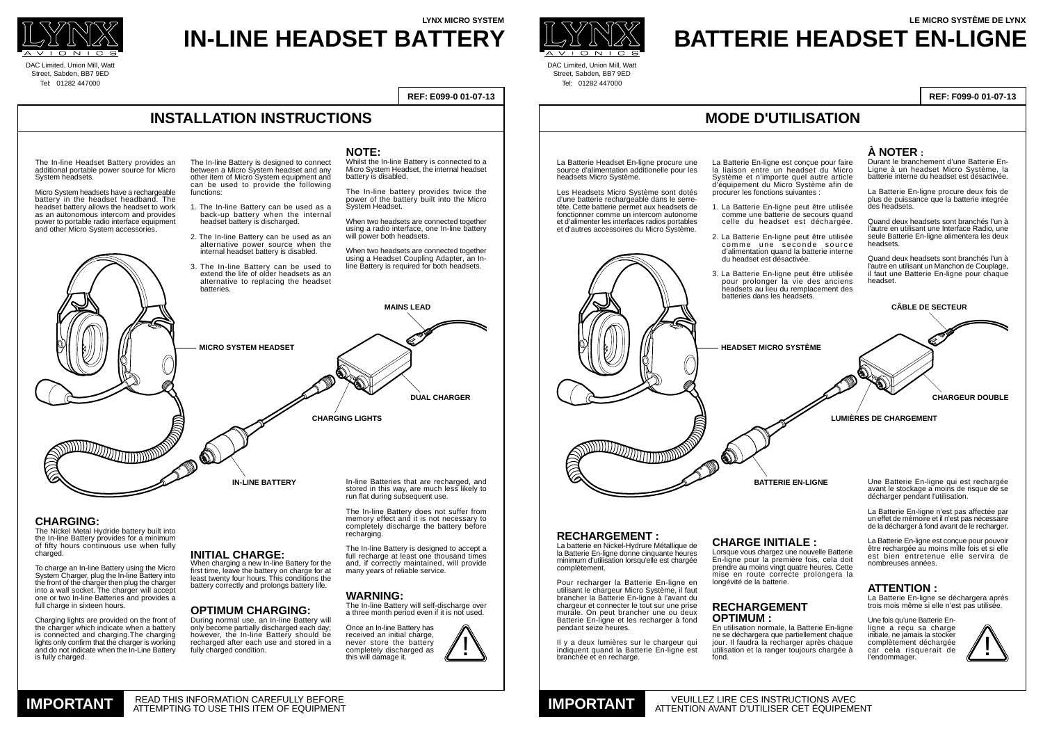Une Batterie En-ligne qui est rechargée avant le stockage a moins de risque de se décharger pendant l'utilisation.

La Batterie En-ligne n'est pas affectée par un effet de mémoire et il n'est pas nécessaire de la décharger à fond avant de le recharger.

La Batterie En-ligne est conçue pour pouvoir être rechargée au moins mille fois et si elle est bien entretenue elle servira de nombreuses années.

## **ATTENTION :**

La Batterie En-ligne se déchargera après trois mois même si elle n'est pas utilisée.

Une fois qu'une Batterie Enligne a reçu sa charge initiale, ne jamais la stocker complètement déchargée car cela risquerait de l'endommager.

The In-line Battery is designed to connect between a Micro System headset and any other item of Micro System equipment and can be used to provide the following functions:



- 1. The In-line Battery can be used as a back-up battery when the internal headset battery is discharged.
- 2. The In-line Battery can be used as an alternative power source when the internal headset battery is disabled.
- 3. The In-line Battery can be used to extend the life of older headsets as an alternative to replacing the headset batteries.

#### **CHARGING:**

The Nickel Metal Hydride battery built into the In-line Battery provides for a minimum of fifty hours continuous use when fully charged.

To charge an In-line Battery using the Micro System Charger, plug the In-line Battery into the front of the charger then plug the charger into a wall socket. The charger will accept one or two In-line Batteries and provides a full charge in sixteen hours.

Charging lights are provided on the front of the charger which indicate when a battery is connected and charging.The charging lights only confirm that the charger is working and do not indicate when the In-Line Battery is fully charged.

During normal use, an In-line Battery will only become partially discharged each day; however, the In-line Battery should be recharged after each use and stored in a fully charged condition.

# **INSTALLATION INSTRUCTIONS**



DAC Limited, Union Mill, Watt Street, Sabden, BB7 9ED Tel: 01282 447000

> When two headsets are connected together using a radio interface, one In-line battery will power both headsets.

**REF: E099-0 01-07-13**

# **LYNX MICRO SYSTEM IN-LINE HEADSET BATTERY**



DAC Limited, Union Mill, Watt Street, Sabden, BB7 9ED Tel: 01282 447000

## **MODE D'UTILISATION**

**REF: F099-0 01-07-13**

# **LE MICRO SYSTÈME DE LYNX BATTERIE HEADSET EN-LIGNE**





**DUAL CHARGER**

**CHARGING LIGHTS**

**MAINS LEAD**

In-line Batteries that are recharged, and stored in this way, are much less likely to run flat during subsequent use.

The In-line Battery does not suffer from memory effect and it is not necessary to completely discharge the battery before recharging.

The In-line Battery is designed to accept a full recharge at least one thousand times and, if correctly maintained, will provide many years of reliable service.

Lorsque vous chargez une nouvelle Batterie En-ligne pour la première fois, cela doit prendre au moins vingt quatre heures. Cette mise en route correcte prolongera la longévité de la batterie.

#### **WARNING:**

The In-line Battery will self-discharge over a three month period even if it is not used.

Once an In-line Battery has received an initial charge. never store the battery completely discharged as this will damage it.

The In-line Headset Battery provides an additional portable power source for Micro System headsets.

Micro System headsets have a rechargeable battery in the headset headband. The headset battery allows the headset to work as an autonomous intercom and provides power to portable radio interface equipment and other Micro System accessories.

## **INITIAL CHARGE:**

When charging a new In-line Battery for the first time, leave the battery on charge for at least twenty four hours. This conditions the battery correctly and prolongs battery life.

### **OPTIMUM CHARGING:**

**IN-LINE BATTERY**

**MICRO SYSTEM HEADSET**

#### **NOTE:**

Whilst the In-line Battery is connected to a Micro System Headset, the internal headset battery is disabled.

The In-line battery provides twice the power of the battery built into the Micro System Headset.

When two headsets are connected together using a Headset Coupling Adapter, an Inline Battery is required for both headsets.

La Batterie En-ligne est conçue pour faire la liaison entre un headset du Micro Système et n'importe quel autre article d'équipement du Micro Système afin de procurer les fonctions suivantes :

- 1. La Batterie En-ligne peut être utilisée comme une batterie de secours quand celle du headset est déchargée.
- 2. La Batterie En-ligne peut être utilisée comme une seconde source d'alimentation quand la batterie interne du headset est désactivée.
- 3. La Batterie En-ligne peut être utilisée pour prolonger la vie des anciens headsets au lieu du remplacement des batteries dans les headsets.





La Batterie Headset En-ligne procure une source d'alimentation additionelle pour les headsets Micro Système.

Les Headsets Micro Système sont dotés d'une batterie rechargeable dans le serretête. Cette batterie permet aux headsets de fonctionner comme un intercom autonome et d'alimenter les interfaces radios portables et d'autres accessoires du Micro Système.

#### **CHARGE INITIALE :**

#### **RECHARGEMENT OPTIMUM :**

En utilisation normale, la Batterie En-ligne ne se déchargera que partiellement chaque jour. Il faudra la recharger après chaque utilisation et la ranger toujours chargée à fond.

## **À NOTER :**

Durant le branchement d'une Batterie En-Ligne à un headset Micro Système, la batterie interne du headset est désactivée.

La Batterie En-ligne procure deux fois de plus de puissance que la batterie integrée des headsets.

Quand deux headsets sont branchés l'un à l'autre en utilisant une Interface Radio, une seule Batterie En-ligne alimentera les deux headsets.

Quand deux headsets sont branchés l'un à l'autre en utilisant un Manchon de Couplage, il faut une Batterie En-ligne pour chaque headset.

### **RECHARGEMENT :**

La batterie en Nickel-Hydrure Métallique de la Batterie En-ligne donne cinquante heures minimum d'utilisation lorsqu'elle est chargée complètement.

Pour recharger la Batterie En-ligne en utilisant le chargeur Micro Système, il faut brancher la Batterie En-ligne à l'avant du chargeur et connecter le tout sur une prise murale. On peut brancher une ou deux Batterie En-ligne et les recharger à fond pendant seize heures.

Il y a deux lumières sur le chargeur qui indiquent quand la Batterie En-ligne est branchée et en recharge.

**CHARGEUR DOUBLE**

**LUMIÈRES DE CHARGEMENT**

**CÂBLE DE SECTEUR**

**BATTERIE EN-LIGNE**

**HEADSET MICRO SYSTÈME**